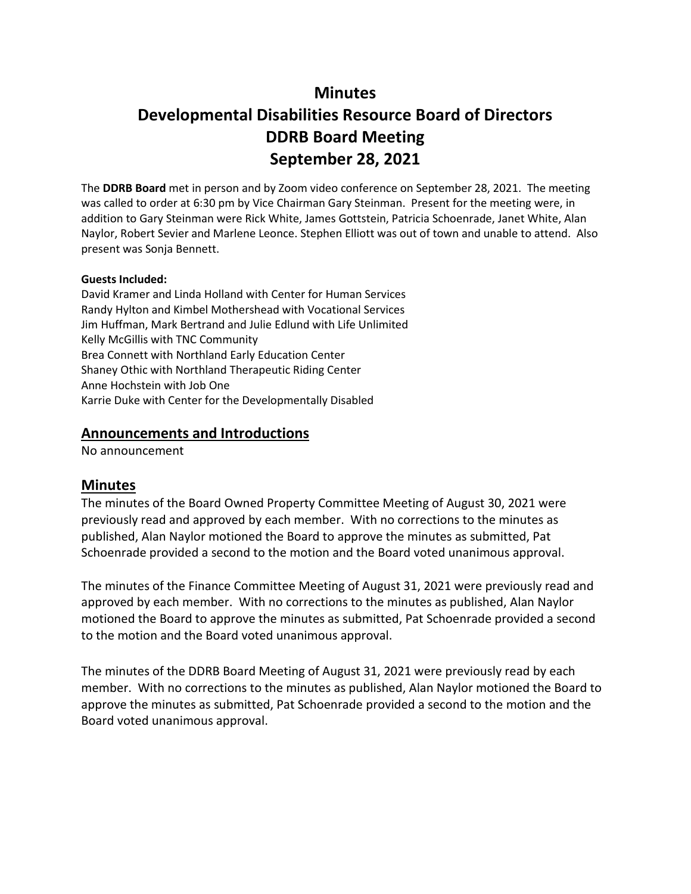# **Minutes**

# **Developmental Disabilities Resource Board of Directors DDRB Board Meeting September 28, 2021**

The **DDRB Board** met in person and by Zoom video conference on September 28, 2021. The meeting was called to order at 6:30 pm by Vice Chairman Gary Steinman. Present for the meeting were, in addition to Gary Steinman were Rick White, James Gottstein, Patricia Schoenrade, Janet White, Alan Naylor, Robert Sevier and Marlene Leonce. Stephen Elliott was out of town and unable to attend. Also present was Sonja Bennett.

#### **Guests Included:**

David Kramer and Linda Holland with Center for Human Services Randy Hylton and Kimbel Mothershead with Vocational Services Jim Huffman, Mark Bertrand and Julie Edlund with Life Unlimited Kelly McGillis with TNC Community Brea Connett with Northland Early Education Center Shaney Othic with Northland Therapeutic Riding Center Anne Hochstein with Job One Karrie Duke with Center for the Developmentally Disabled

## **Announcements and Introductions**

No announcement

### **Minutes**

The minutes of the Board Owned Property Committee Meeting of August 30, 2021 were previously read and approved by each member. With no corrections to the minutes as published, Alan Naylor motioned the Board to approve the minutes as submitted, Pat Schoenrade provided a second to the motion and the Board voted unanimous approval.

The minutes of the Finance Committee Meeting of August 31, 2021 were previously read and approved by each member. With no corrections to the minutes as published, Alan Naylor motioned the Board to approve the minutes as submitted, Pat Schoenrade provided a second to the motion and the Board voted unanimous approval.

The minutes of the DDRB Board Meeting of August 31, 2021 were previously read by each member. With no corrections to the minutes as published, Alan Naylor motioned the Board to approve the minutes as submitted, Pat Schoenrade provided a second to the motion and the Board voted unanimous approval.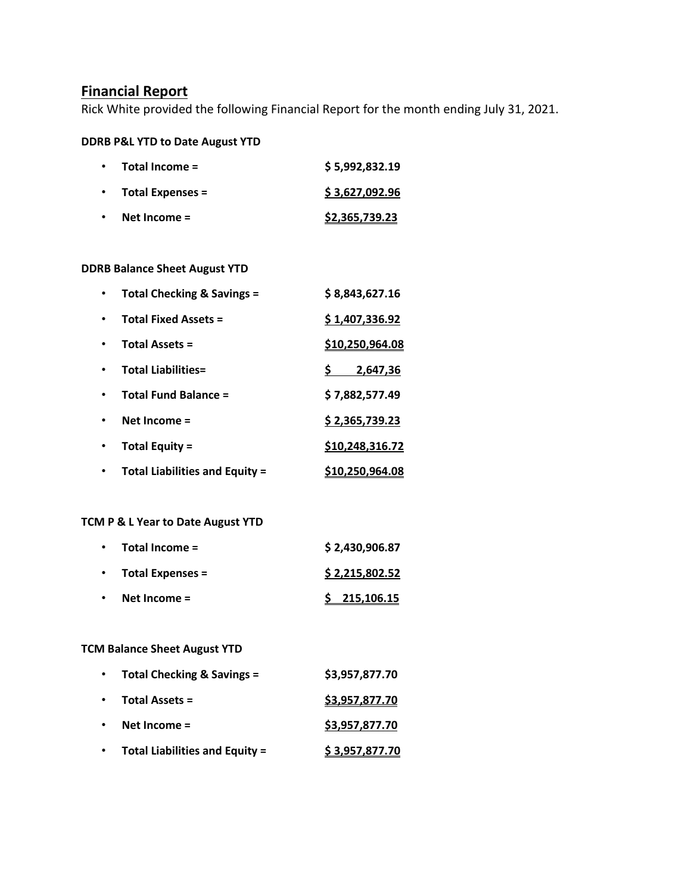# **Financial Report**

Rick White provided the following Financial Report for the month ending July 31, 2021.

#### **DDRB P&L YTD to Date August YTD**

| $\bullet$ | Total Income =          | \$5,992,832.19        |
|-----------|-------------------------|-----------------------|
| $\bullet$ | <b>Total Expenses =</b> | \$3,627,092.96        |
| $\bullet$ | Net Income $=$          | <u>\$2,365,739.23</u> |

## **DDRB Balance Sheet August YTD**

| Total Checking & Savings =            | \$8,843,627.16         |
|---------------------------------------|------------------------|
| <b>Total Fixed Assets =</b>           | \$1,407,336.92         |
| <b>Total Assets =</b>                 | \$10,250,964.08        |
| <b>Total Liabilities=</b>             | 2,647,36               |
| <b>Total Fund Balance =</b>           | \$7,882,577.49         |
| Net Income $=$                        | \$2,365,739.23         |
| Total Equity =                        | \$10,248,316.72        |
| <b>Total Liabilities and Equity =</b> | <u>\$10,250,964.08</u> |

# **TCM P & L Year to Date August YTD**

| $\bullet$ | Total Income =          | \$2,430,906.87 |
|-----------|-------------------------|----------------|
| $\bullet$ | <b>Total Expenses =</b> | \$2,215,802.52 |
| $\bullet$ | Net Income $=$          | \$215,106.15   |

## **TCM Balance Sheet August YTD**

| $\bullet$ | <b>Total Checking &amp; Savings =</b> | \$3,957,877.70 |
|-----------|---------------------------------------|----------------|
| $\bullet$ | Total Assets =                        | \$3,957,877.70 |
|           | Net Income $=$                        | \$3,957,877.70 |
|           | <b>Total Liabilities and Equity =</b> | \$3,957,877.70 |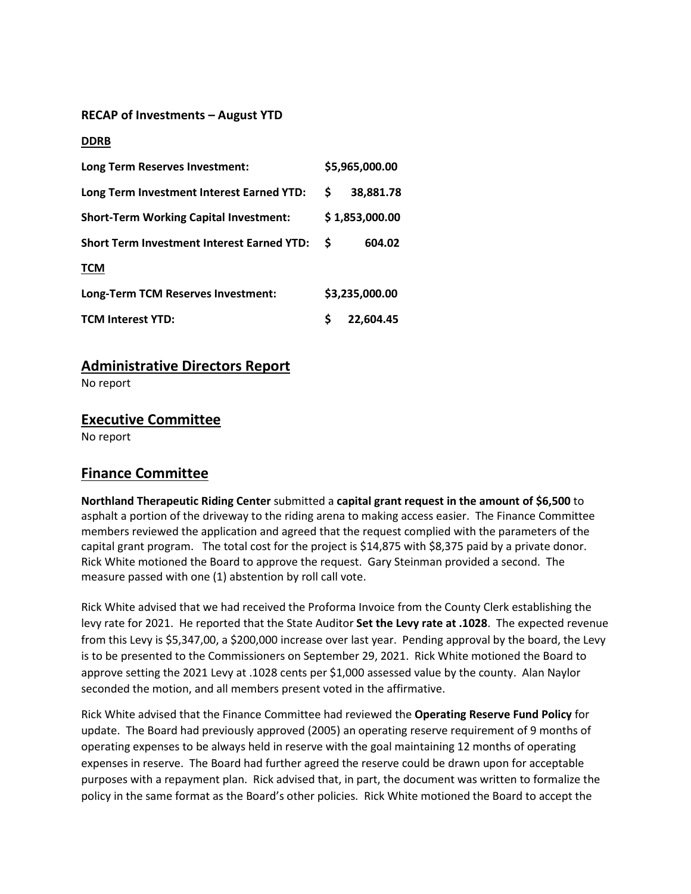#### **RECAP of Investments – August YTD**

#### **DDRB**

| Long Term Reserves Investment:                    |   | \$5,965,000.00 |  |
|---------------------------------------------------|---|----------------|--|
| Long Term Investment Interest Earned YTD:         | S | 38,881.78      |  |
| <b>Short-Term Working Capital Investment:</b>     |   | \$1,853,000.00 |  |
| <b>Short Term Investment Interest Earned YTD:</b> | S | 604.02         |  |
| <b>TCM</b>                                        |   |                |  |
| Long-Term TCM Reserves Investment:                |   | \$3,235,000.00 |  |
| <b>TCM Interest YTD:</b>                          |   | 22,604.45      |  |

# **Administrative Directors Report**

No report

### **Executive Committee**

No report

# **Finance Committee**

**Northland Therapeutic Riding Center** submitted a **capital grant request in the amount of \$6,500** to asphalt a portion of the driveway to the riding arena to making access easier. The Finance Committee members reviewed the application and agreed that the request complied with the parameters of the capital grant program. The total cost for the project is \$14,875 with \$8,375 paid by a private donor. Rick White motioned the Board to approve the request. Gary Steinman provided a second. The measure passed with one (1) abstention by roll call vote.

Rick White advised that we had received the Proforma Invoice from the County Clerk establishing the levy rate for 2021. He reported that the State Auditor **Set the Levy rate at .1028**. The expected revenue from this Levy is \$5,347,00, a \$200,000 increase over last year. Pending approval by the board, the Levy is to be presented to the Commissioners on September 29, 2021. Rick White motioned the Board to approve setting the 2021 Levy at .1028 cents per \$1,000 assessed value by the county. Alan Naylor seconded the motion, and all members present voted in the affirmative.

Rick White advised that the Finance Committee had reviewed the **Operating Reserve Fund Policy** for update. The Board had previously approved (2005) an operating reserve requirement of 9 months of operating expenses to be always held in reserve with the goal maintaining 12 months of operating expenses in reserve. The Board had further agreed the reserve could be drawn upon for acceptable purposes with a repayment plan. Rick advised that, in part, the document was written to formalize the policy in the same format as the Board's other policies. Rick White motioned the Board to accept the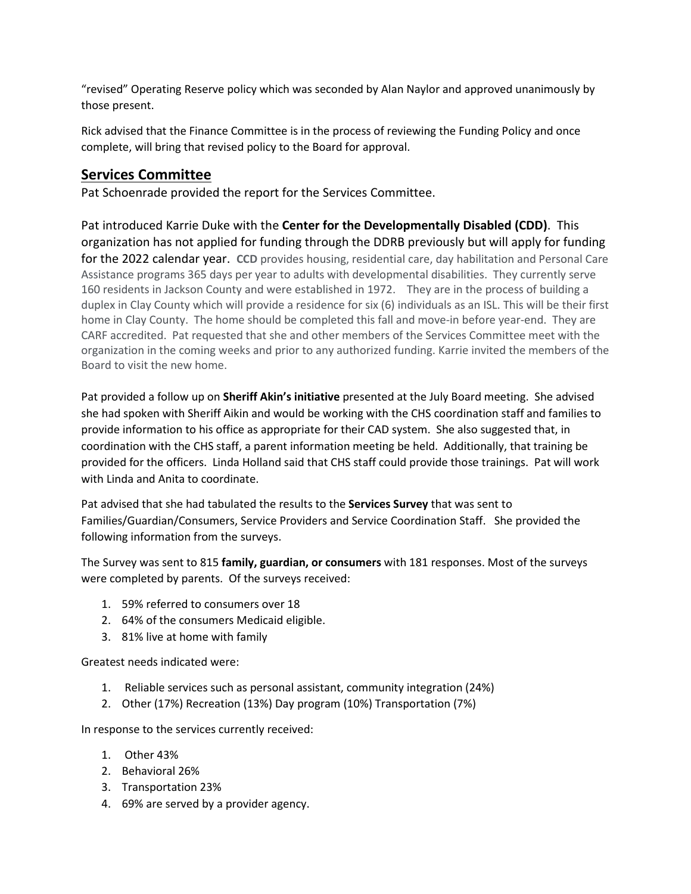"revised" Operating Reserve policy which was seconded by Alan Naylor and approved unanimously by those present.

Rick advised that the Finance Committee is in the process of reviewing the Funding Policy and once complete, will bring that revised policy to the Board for approval.

# **Services Committee**

Pat Schoenrade provided the report for the Services Committee.

Pat introduced Karrie Duke with the **Center for the Developmentally Disabled (CDD)**. This organization has not applied for funding through the DDRB previously but will apply for funding for the 2022 calendar year. **CCD** provides housing, residential care, day habilitation and Personal Care Assistance programs 365 days per year to adults with developmental disabilities. They currently serve 160 residents in Jackson County and were established in 1972. They are in the process of building a duplex in Clay County which will provide a residence for six (6) individuals as an ISL. This will be their first home in Clay County. The home should be completed this fall and move-in before year-end. They are CARF accredited. Pat requested that she and other members of the Services Committee meet with the organization in the coming weeks and prior to any authorized funding. Karrie invited the members of the Board to visit the new home.

Pat provided a follow up on **Sheriff Akin's initiative** presented at the July Board meeting. She advised she had spoken with Sheriff Aikin and would be working with the CHS coordination staff and families to provide information to his office as appropriate for their CAD system. She also suggested that, in coordination with the CHS staff, a parent information meeting be held. Additionally, that training be provided for the officers. Linda Holland said that CHS staff could provide those trainings. Pat will work with Linda and Anita to coordinate.

Pat advised that she had tabulated the results to the **Services Survey** that was sent to Families/Guardian/Consumers, Service Providers and Service Coordination Staff. She provided the following information from the surveys.

The Survey was sent to 815 **family, guardian, or consumers** with 181 responses. Most of the surveys were completed by parents. Of the surveys received:

- 1. 59% referred to consumers over 18
- 2. 64% of the consumers Medicaid eligible.
- 3. 81% live at home with family

Greatest needs indicated were:

- 1. Reliable services such as personal assistant, community integration (24%)
- 2. Other (17%) Recreation (13%) Day program (10%) Transportation (7%)

In response to the services currently received:

- 1. Other 43%
- 2. Behavioral 26%
- 3. Transportation 23%
- 4. 69% are served by a provider agency.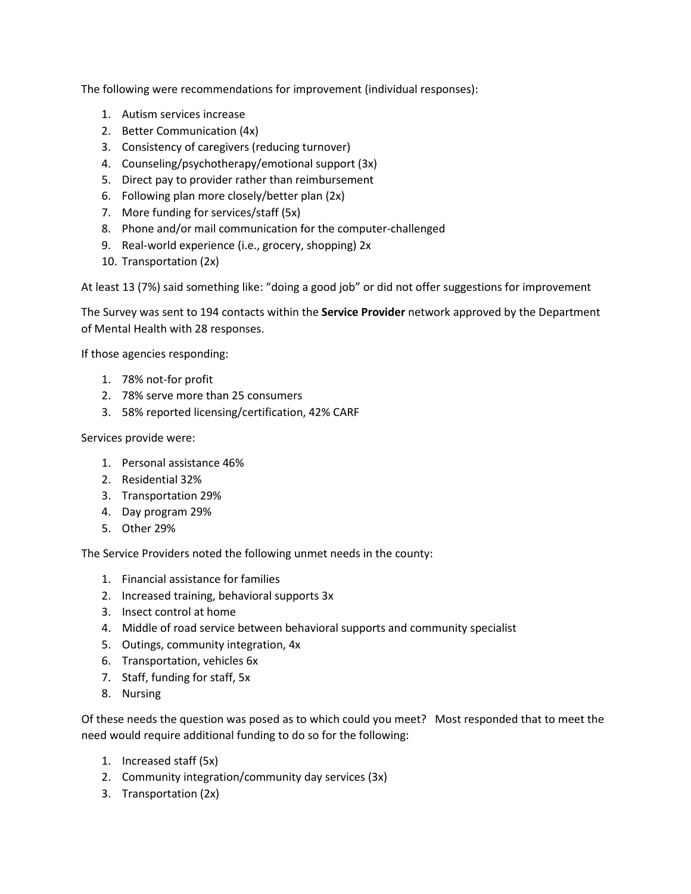The following were recommendations for improvement (individual responses):

- 1. Autism services increase
- 2. Better Communication (4x)
- 3. Consistency of caregivers (reducing turnover)
- 4. Counseling/psychotherapy/emotional support (3x)
- 5. Direct pay to provider rather than reimbursement
- 6. Following plan more closely/better plan (2x)
- 7. More funding for services/staff (5x)
- 8. Phone and/or mail communication for the computer-challenged
- 9. Real-world experience (i.e., grocery, shopping) 2x
- 10. Transportation (2x)

At least 13 (7%) said something like: "doing a good job" or did not offer suggestions for improvement

The Survey was sent to 194 contacts within the **Service Provider** network approved by the Department of Mental Health with 28 responses.

If those agencies responding:

- 1. 78% not-for profit
- 2. 78% serve more than 25 consumers
- 3. 58% reported licensing/certification, 42% CARF

Services provide were:

- 1. Personal assistance 46%
- 2. Residential 32%
- 3. Transportation 29%
- 4. Day program 29%
- 5. Other 29%

The Service Providers noted the following unmet needs in the county:

- 1. Financial assistance for families
- 2. Increased training, behavioral supports 3x
- 3. Insect control at home
- 4. Middle of road service between behavioral supports and community specialist
- 5. Outings, community integration, 4x
- 6. Transportation, vehicles 6x
- 7. Staff, funding for staff, 5x
- 8. Nursing

Of these needs the question was posed as to which could you meet? Most responded that to meet the need would require additional funding to do so for the following:

- 1. Increased staff (5x)
- 2. Community integration/community day services (3x)
- 3. Transportation (2x)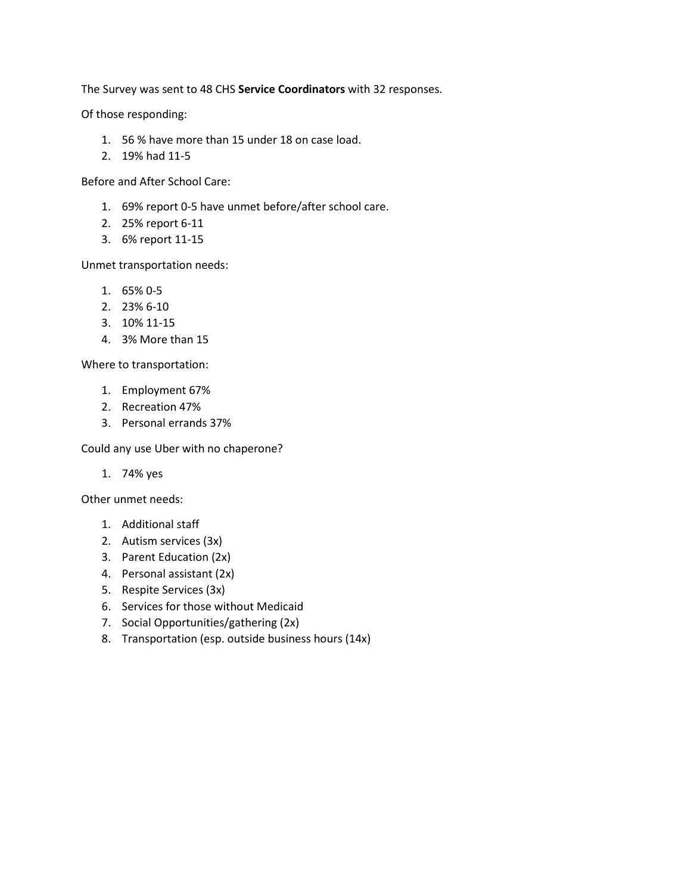The Survey was sent to 48 CHS **Service Coordinators** with 32 responses.

Of those responding:

- 1. 56 % have more than 15 under 18 on case load.
- 2. 19% had 11-5

Before and After School Care:

- 1. 69% report 0-5 have unmet before/after school care.
- 2. 25% report 6-11
- 3. 6% report 11-15

Unmet transportation needs:

- 1. 65% 0-5
- 2. 23% 6-10
- 3. 10% 11-15
- 4. 3% More than 15

Where to transportation:

- 1. Employment 67%
- 2. Recreation 47%
- 3. Personal errands 37%

Could any use Uber with no chaperone?

1. 74% yes

Other unmet needs:

- 1. Additional staff
- 2. Autism services (3x)
- 3. Parent Education (2x)
- 4. Personal assistant (2x)
- 5. Respite Services (3x)
- 6. Services for those without Medicaid
- 7. Social Opportunities/gathering (2x)
- 8. Transportation (esp. outside business hours (14x)